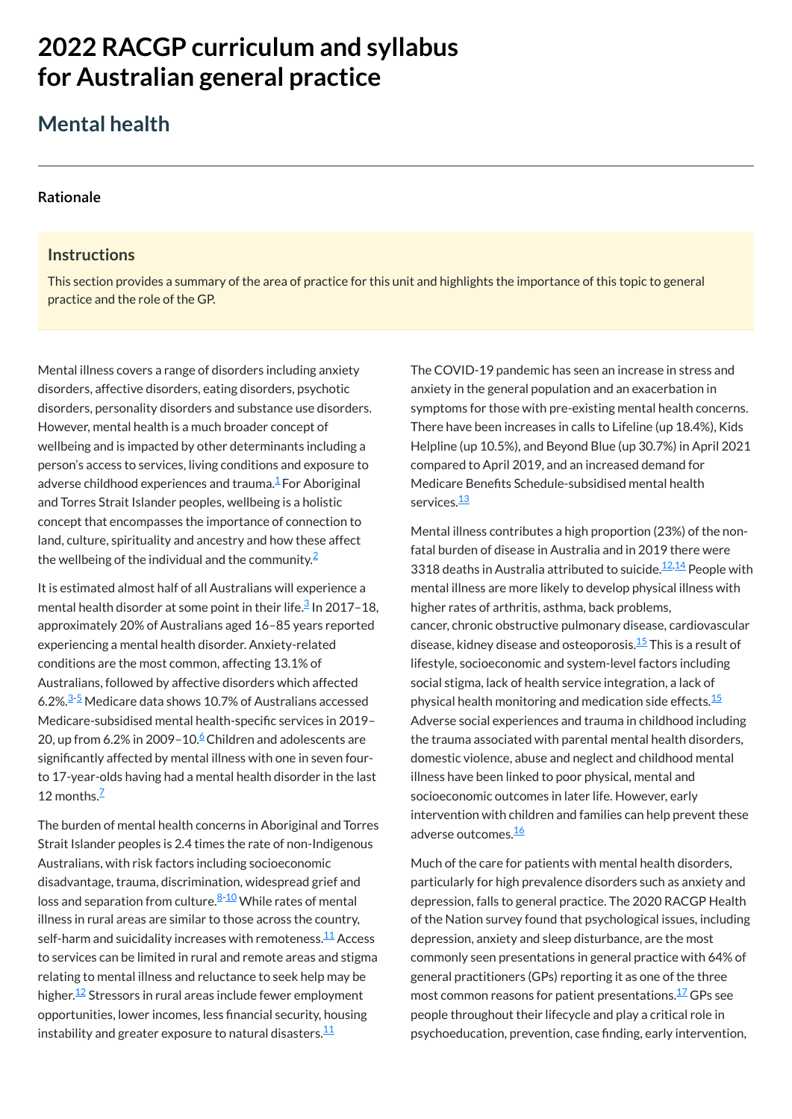# **2022 RACGP curriculum and syllabus for Australian [general practice](https://www.racgp.org.au/Curriculum-and-Syllabus/home)**

## **Mental health**

#### **[Rationale](javascript:void(0))**

#### **Instructions**

Mental illness covers a range of disorders including anxiety disorders, affective disorders, eating disorders, psychotic disorders, personality disorders and substance use disorders. However, mental health is a much broader concept of wellbeing and is impacted by other determinants including a person's access to services, living conditions and exposure to adverse childhood experiences and trauma.<sup>[1](#page-1-0)</sup> For Aboriginal and Torres Strait Islander peoples, wellbeing is a holistic concept that encompasses the importance of connection to land, culture, spirituality and ancestry and how these affect the wellbeing of the individual and the community. $^2$  $^2$ 

This section provides a summary of the area of practice for this unit and highlights the importance of this topic to general practice and the role of the GP.

It is estimated almost half of all Australians will experience a mental health disorder at some point in their life.<sup>[3](#page-1-2)</sup> In 2017–18, approximately 20% of Australians aged 16–85 years reported experiencing a mental health disorder. Anxiety-related conditions are the most common, affecting 13.1% of Australians, followed by affective disorders which affected 6.2%.<sup>[3-](#page-1-2)[5](#page-1-3)</sup> Medicare data shows 10.7% of Australians accessed Medicare-subsidised mental health-specific services in 2019– 20, up from [6](#page-1-4).2% in 2009–10. $6$ Children and adolescents are significantly affected by mental illness with one in seven fourto 17-year-olds having had a mental health disorder in the last 12 months.<sup>[7](#page-1-5)</sup>

Australians, with risk factors including socioeconomic disadvantage, trauma, discrimination, widespread grief and loss and separation from culture.<sup><u>[8-](#page-1-6)[10](#page-1-7)</u> While rates of mental</sup> illness in rural areas are similar to those across the country, self-harm and suicidality increases with remoteness.<sup>[11](#page-1-8)</sup> Access to services can be limited in rural and remote areas and stigma relating to mental illness and reluctance to seek help may be higher.<sup>[12](#page-1-9)</sup> Stressors in rural areas include fewer employment opportunities, lower incomes, less financial security, housing instability and greater exposure to natural disasters. $^{\underline{1}\underline{1}}$ 

The COVID-19 pandemic has seen an increase in stress and anxiety in the general population and an exacerbation in symptoms for those with pre-existing mental health concerns. There have been increases in calls to Lifeline (up 18.4%), Kids Helpline (up 10.5%), and Beyond Blue (up 30.7%) in April 2021 compared to April 2019, and an increased demand for Medicare Benefits Schedule-subsidised mental health services.<sup>[13](#page-1-10)</sup>

Mental illness contributes a high proportion (23%) of the nonfatal burden of disease in Australia and in 2019 there were 3318 deaths in Australia attributed to suicide.<sup>[12](#page-1-9),[14](#page-1-11)</sup> People with mental illness are more likely to develop physical illness with higher rates of arthritis, asthma, back problems, cancer, chronic obstructive pulmonary disease, cardiovascular disease, kidney disease and osteoporosis.<sup>[15](#page-1-12)</sup> This is a result of lifestyle, socioeconomic and system-level factors including social stigma, lack of health service integration, a lack of physical health monitoring and medication side effects. [15](#page-1-12) Adverse social experiences and trauma in childhood including the trauma associated with parental mental health disorders, domestic violence, abuse and neglect and childhood mental illness have been linked to poor physical, mental and socioeconomic outcomes in later life. However, early intervention with children and families can help prevent these adverse outcomes.<sup>[16](#page-1-13)</sup>

The burden of mental health concerns in Aboriginal and Torres Strait Islander peoples is 2.4 times the rate of non-Indigenous

> Much of the care for patients with mental health disorders, particularly for high prevalence disorders such as anxiety and depression, falls to general practice. The 2020 RACGP Health of the Nation survey found that psychological issues, including depression, anxiety and sleep disturbance, are the most commonly seen presentations in general practice with 64% of general practitioners (GPs) reporting it as one of the three most common reasons for patient presentations.<sup>[17](#page-1-14)</sup> GPs see people throughout their lifecycle and play a critical role in psychoeducation, prevention, case finding, early intervention,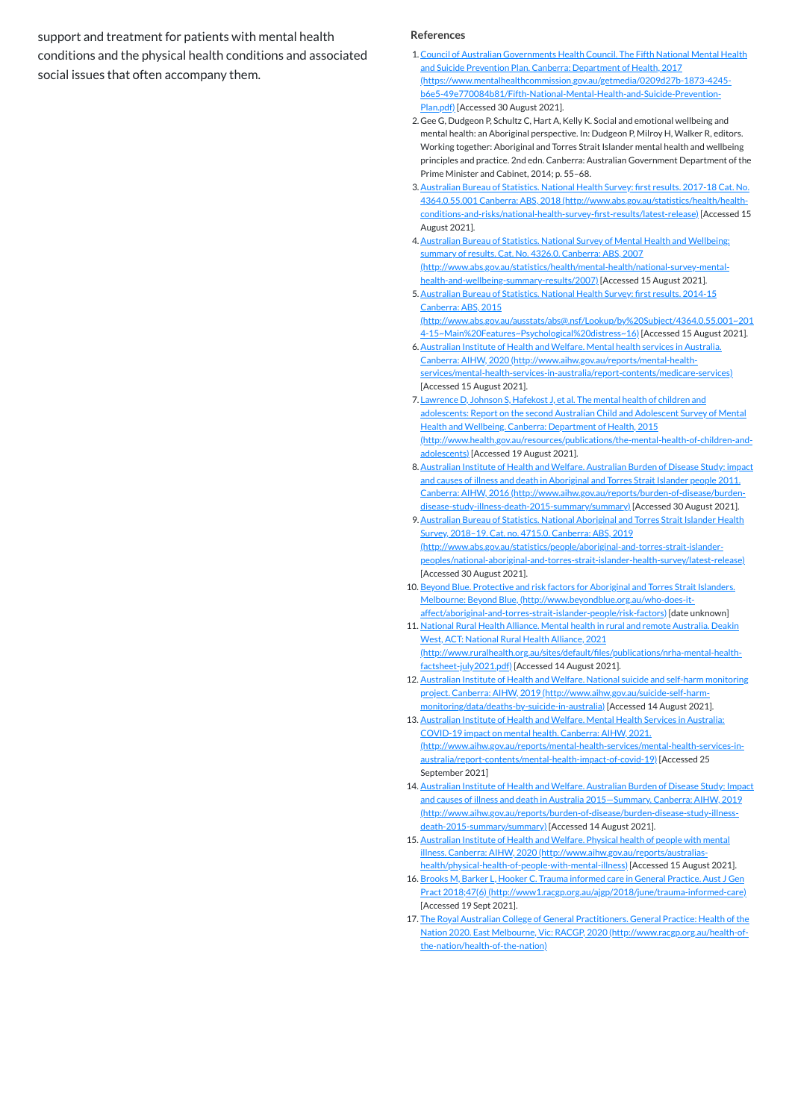support and treatment for patients with mental health conditions and the physical health conditions and associated social issues that often accompany them.

- <span id="page-1-0"></span>1.Council of Australian Governments Health Council. The Fifth National Mental Health and Suicide Prevention Plan. Canberra: Department of Health, 2017 [\(https://www.mentalhealthcommission.gov.au/getmedia/0209d27b-1873-4245](https://www.mentalhealthcommission.gov.au/getmedia/0209d27b-1873-4245-b6e5-49e770084b81/Fifth-National-Mental-Health-and-Suicide-Prevention-Plan.pdf) b6e5-49e770084b81/Fifth-National-Mental-Health-and-Suicide-Prevention-Plan.pdf) [Accessed 30 August 2021].
- <span id="page-1-1"></span>2. Gee G, Dudgeon P, Schultz C, Hart A, Kelly K. Social and emotional wellbeing and mental health: an Aboriginal perspective. In: Dudgeon P, Milroy H, Walker R, editors. Working together: Aboriginal and Torres Strait Islander mental health and wellbeing principles and practice. 2nd edn. Canberra: Australian Government Department of the Prime Minister and Cabinet, 2014; p. 55–68.
- <span id="page-1-2"></span>3.Australian Bureau of Statistics. National Health Survey: first results. 2017-18 Cat. No. 4364.0.55.001 Canberra: ABS, 2018 (http://www.abs.gov.au/statistics/health/health[conditions-and-risks/national-health-survey-first-results/latest-release\)](http://www.abs.gov.au/statistics/health/health-conditions-and-risks/national-health-survey-first-results/latest-release) [Accessed 15 August 2021].
- 4.Australian Bureau of Statistics. National Survey of Mental Health and Wellbeing: summary of results. Cat. No. 4326.0. Canberra: ABS, 2007 [\(http://www.abs.gov.au/statistics/health/mental-health/national-survey-mental](http://www.abs.gov.au/statistics/health/mental-health/national-survey-mental-health-and-wellbeing-summary-results/2007)health-and-wellbeing-summary-results/2007) [Accessed 15 August 2021].
- <span id="page-1-3"></span>5. Australian Bureau of Statistics. National Health Survey: first results. 2014-15 Canberra: ABS, 2015 [\(http://www.abs.gov.au/ausstats/abs@.nsf/Lookup/by%20Subject/4364.0.55.001~201](http://www.abs.gov.au/ausstats/abs@.nsf/Lookup/by%20Subject/4364.0.55.001~2014-15~Main%20Features~Psychological%20distress~16) 4-15~Main%20Features~Psychological%20distress~16) [Accessed 15 August 2021].
- <span id="page-1-4"></span>6.Australian Institute of Health and Welfare. Mental health services in Australia. Canberra: AIHW, 2020 (http://www.aihw.gov.au/reports/mental-health[services/mental-health-services-in-australia/report-contents/medicare-services\)](http://www.aihw.gov.au/reports/mental-health-services/mental-health-services-in-australia/report-contents/medicare-services) [Accessed 15 August 2021].
- <span id="page-1-5"></span>7. Lawrence D, Johnson S, Hafekost J, et al. The mental health of children and adolescents: Report on the second Australian Child and Adolescent Survey of Mental Health and Wellbeing. Canberra: Department of Health, 2015 [\(http://www.health.gov.au/resources/publications/the-mental-health-of-children-and](http://www.health.gov.au/resources/publications/the-mental-health-of-children-and-adolescents)adolescents) [Accessed 19 August 2021].
- <span id="page-1-6"></span>8.Australian Institute of Health and Welfare. Australian Burden of Disease Study: impact and causes of illness and death in Aboriginal and Torres Strait Islander people 2011. Canberra: AIHW, 2016 [\(http://www.aihw.gov.au/reports/burden-of-disease/burden](http://www.aihw.gov.au/reports/burden-of-disease/burden-disease-study-illness-death-2015-summary/summary)disease-study-illness-death-2015-summary/summary) [Accessed 30 August 2021].
- 9.Australian Bureau of Statistics. National Aboriginal and Torres Strait Islander Health Survey, 2018–19. Cat. no. 4715.0. Canberra: ABS, 2019 (http://www.abs.gov.au/statistics/people/aboriginal-and-torres-strait-islander[peoples/national-aboriginal-and-torres-strait-islander-health-survey/latest-release\)](http://www.abs.gov.au/statistics/people/aboriginal-and-torres-strait-islander-peoples/national-aboriginal-and-torres-strait-islander-health-survey/latest-release) [Accessed 30 August 2021].
- <span id="page-1-7"></span>10. Beyond Blue. Protective and risk factors for Aboriginal and Torres Strait Islanders. Melbourne: Beyond Blue, (http://www.beyondblue.org.au/who-does-it[affect/aboriginal-and-torres-strait-islander-people/risk-factors\)](http://www.beyondblue.org.au/who-does-it-affect/aboriginal-and-torres-strait-islander-people/risk-factors) [date unknown]
- <span id="page-1-8"></span>11. National Rural Health Alliance. Mental health in rural and remote Australia. Deakin West, ACT: National Rural Health Alliance, 2021 [\(http://www.ruralhealth.org.au/sites/default/files/publications/nrha-mental-health](http://www.ruralhealth.org.au/sites/default/files/publications/nrha-mental-health-factsheet-july2021.pdf)factsheet-july2021.pdf) [Accessed 14 August 2021].
- <span id="page-1-9"></span>12. Australian Institute of Health and Welfare. National suicide and self-harm monitoring project. Canberra: AIHW, 2019 (http://www.aihw.gov.au/suicide-self-harm[monitoring/data/deaths-by-suicide-in-australia\)](http://www.aihw.gov.au/suicide-self-harm-monitoring/data/deaths-by-suicide-in-australia) [Accessed 14 August 2021].
- <span id="page-1-10"></span>13. Australian Institute of Health and Welfare. Mental Health Services in Australia: COVID-19 impact on mental health. Canberra: AIHW, 2021. [\(http://www.aihw.gov.au/reports/mental-health-services/mental-health-services-in](http://www.aihw.gov.au/reports/mental-health-services/mental-health-services-in-australia/report-contents/mental-health-impact-of-covid-19)australia/report-contents/mental-health-impact-of-covid-19) [Accessed 25 September 2021]
- <span id="page-1-11"></span>14. Australian Institute of Health and Welfare. Australian Burden of Disease Study: Impact and causes of illness and death in Australia 2015—Summary. Canberra: AIHW, 2019 [\(http://www.aihw.gov.au/reports/burden-of-disease/burden-disease-study-illness](http://www.aihw.gov.au/reports/burden-of-disease/burden-disease-study-illness-death-2015-summary/summary)death-2015-summary/summary) [Accessed 14 August 2021].
- <span id="page-1-12"></span>15. Australian Institute of Health and Welfare. Physical health of people with mental

#### **References**

<span id="page-1-13"></span>illness. Canberra: AIHW, 2020 (http://www.aihw.gov.au/reports/australias[health/physical-health-of-people-with-mental-illness\)](http://www.aihw.gov.au/reports/australias-health/physical-health-of-people-with-mental-illness) [Accessed 15 August 2021]. 16. Brooks M, Barker L, Hooker C. Trauma informed care in General Practice. Aust J Gen Pract 2018;47(6) [\(http://www1.racgp.org.au/ajgp/2018/june/trauma-informed-care\)](http://www1.racgp.org.au/ajgp/2018/june/trauma-informed-care) [Accessed 19 Sept 2021]. 17. The Royal Australian College of General Practitioners. General Practice: Health of the

<span id="page-1-14"></span>Nation 2020. East Melbourne, Vic: RACGP, 2020 [\(http://www.racgp.org.au/health-of-](http://www.racgp.org.au/health-of-the-nation/health-of-the-nation)

the-nation/health-of-the-nation)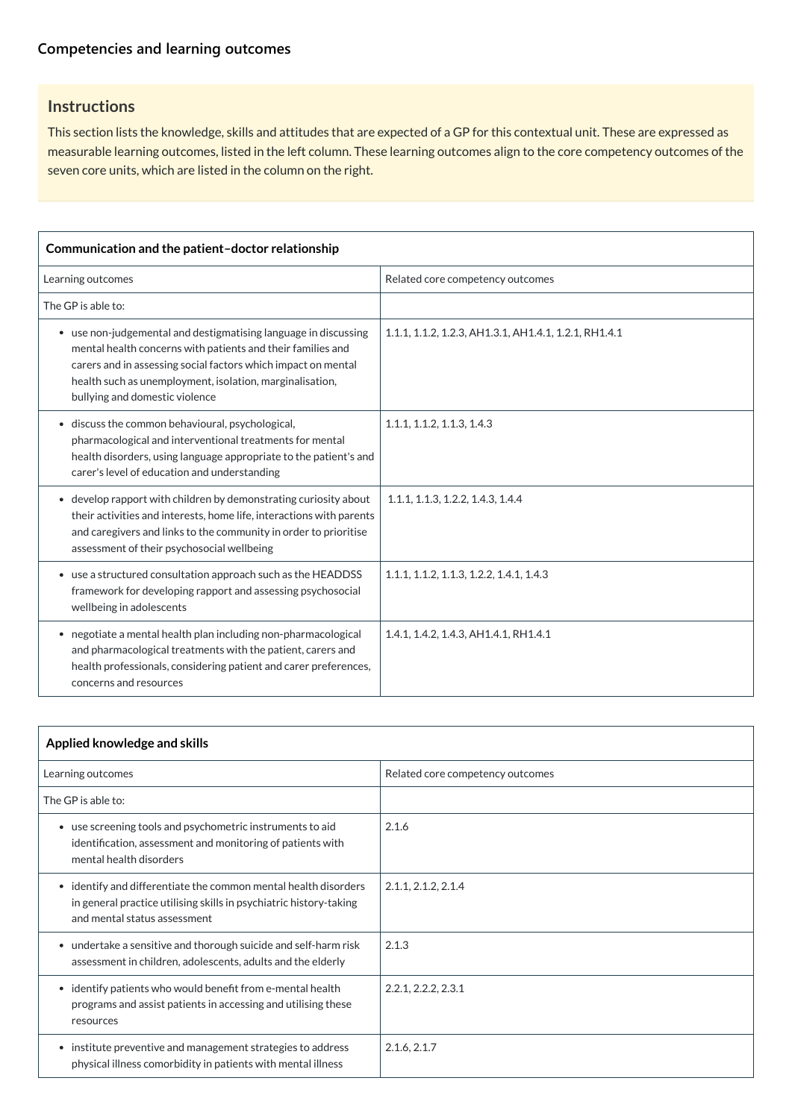#### **[Competencies and learning outcomes](javascript:void(0))**

### **Instructions**

This section lists the knowledge, skills and attitudes that are expected of a GP for this contextual unit. These are expressed as measurable learning outcomes, listed in the left column. These learning outcomes align to the core competency outcomes of the seven core units, which are listed in the column on the right.

| Communication and the patient-doctor relationship                                                                                                                                                                                                                                             |                                                       |  |
|-----------------------------------------------------------------------------------------------------------------------------------------------------------------------------------------------------------------------------------------------------------------------------------------------|-------------------------------------------------------|--|
| Learning outcomes                                                                                                                                                                                                                                                                             | Related core competency outcomes                      |  |
| The GP is able to:                                                                                                                                                                                                                                                                            |                                                       |  |
| • use non-judgemental and destigmatising language in discussing<br>mental health concerns with patients and their families and<br>carers and in assessing social factors which impact on mental<br>health such as unemployment, isolation, marginalisation,<br>bullying and domestic violence | 1.1.1, 1.1.2, 1.2.3, AH1.3.1, AH1.4.1, 1.2.1, RH1.4.1 |  |
| • discuss the common behavioural, psychological,<br>pharmacological and interventional treatments for mental<br>health disorders, using language appropriate to the patient's and<br>carer's level of education and understanding                                                             | 1.1.1, 1.1.2, 1.1.3, 1.4.3                            |  |
| • develop rapport with children by demonstrating curiosity about<br>their activities and interests, home life, interactions with parents<br>and caregivers and links to the community in order to prioritise<br>assessment of their psychosocial wellbeing                                    | 1.1.1, 1.1.3, 1.2.2, 1.4.3, 1.4.4                     |  |
| • use a structured consultation approach such as the HEADDSS<br>framework for developing rapport and assessing psychosocial<br>wellbeing in adolescents                                                                                                                                       | 1.1.1, 1.1.2, 1.1.3, 1.2.2, 1.4.1, 1.4.3              |  |
| • negotiate a mental health plan including non-pharmacological<br>and pharmacological treatments with the patient, carers and<br>health professionals, considering patient and carer preferences,<br>concerns and resources                                                                   | 1.4.1, 1.4.2, 1.4.3, AH1.4.1, RH1.4.1                 |  |

| Applied knowledge and skills                                                                                                                                          |                                  |
|-----------------------------------------------------------------------------------------------------------------------------------------------------------------------|----------------------------------|
| Learning outcomes                                                                                                                                                     | Related core competency outcomes |
| The GP is able to:                                                                                                                                                    |                                  |
| • use screening tools and psychometric instruments to aid<br>identification, assessment and monitoring of patients with<br>mental health disorders                    | 2.1.6                            |
| • identify and differentiate the common mental health disorders<br>in general practice utilising skills in psychiatric history-taking<br>and mental status assessment | 2.1.1, 2.1.2, 2.1.4              |
| • undertake a sensitive and thorough suicide and self-harm risk<br>assessment in children, adolescents, adults and the elderly                                        | 2.1.3                            |
| • identify patients who would benefit from e-mental health<br>programs and assist patients in accessing and utilising these<br>resources                              | 2.2.1, 2.2.2, 2.3.1              |
| • institute preventive and management strategies to address<br>physical illness comorbidity in patients with mental illness                                           | 2.1.6, 2.1.7                     |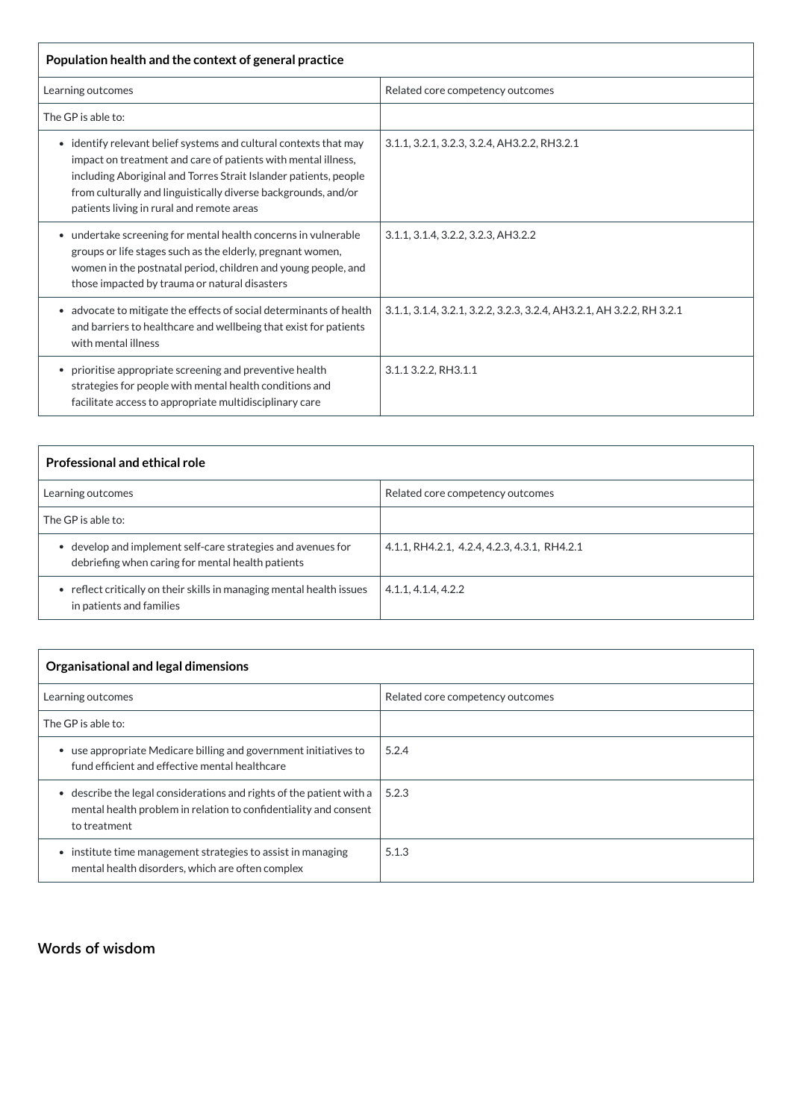| Population health and the context of general practice                                                                                                                                                                                                                                                                            |                                                                       |  |
|----------------------------------------------------------------------------------------------------------------------------------------------------------------------------------------------------------------------------------------------------------------------------------------------------------------------------------|-----------------------------------------------------------------------|--|
| Learning outcomes                                                                                                                                                                                                                                                                                                                | Related core competency outcomes                                      |  |
| The GP is able to:                                                                                                                                                                                                                                                                                                               |                                                                       |  |
| identify relevant belief systems and cultural contexts that may<br>$\bullet$<br>impact on treatment and care of patients with mental illness,<br>including Aboriginal and Torres Strait Islander patients, people<br>from culturally and linguistically diverse backgrounds, and/or<br>patients living in rural and remote areas | 3.1.1, 3.2.1, 3.2.3, 3.2.4, AH3.2.2, RH3.2.1                          |  |
| • undertake screening for mental health concerns in vulnerable<br>groups or life stages such as the elderly, pregnant women,<br>women in the postnatal period, children and young people, and<br>those impacted by trauma or natural disasters                                                                                   | 3.1.1, 3.1.4, 3.2.2, 3.2.3, AH3.2.2                                   |  |
| • advocate to mitigate the effects of social determinants of health<br>and barriers to healthcare and wellbeing that exist for patients<br>with mental illness                                                                                                                                                                   | 3.1.1, 3.1.4, 3.2.1, 3.2.2, 3.2.3, 3.2.4, AH3.2.1, AH 3.2.2, RH 3.2.1 |  |
| prioritise appropriate screening and preventive health<br>$\bullet$<br>strategies for people with mental health conditions and<br>facilitate access to appropriate multidisciplinary care                                                                                                                                        | 3.1.1 3.2.2, RH3.1.1                                                  |  |

| <b>Professional and ethical role</b>                                                                              |                                              |  |
|-------------------------------------------------------------------------------------------------------------------|----------------------------------------------|--|
| Learning outcomes                                                                                                 | Related core competency outcomes             |  |
| The GP is able to:                                                                                                |                                              |  |
| • develop and implement self-care strategies and avenues for<br>debriefing when caring for mental health patients | 4.1.1, RH4.2.1, 4.2.4, 4.2.3, 4.3.1, RH4.2.1 |  |
| • reflect critically on their skills in managing mental health issues<br>in patients and families                 | 4.1.1, 4.1.4, 4.2.2                          |  |

| Organisational and legal dimensions                                                                                                                                 |                                  |  |
|---------------------------------------------------------------------------------------------------------------------------------------------------------------------|----------------------------------|--|
| Learning outcomes                                                                                                                                                   | Related core competency outcomes |  |
| The GP is able to:                                                                                                                                                  |                                  |  |
| use appropriate Medicare billing and government initiatives to<br>fund efficient and effective mental healthcare                                                    | 5.2.4                            |  |
| describe the legal considerations and rights of the patient with a<br>$\bullet$<br>mental health problem in relation to confidentiality and consent<br>to treatment | 5.2.3                            |  |



5.1.3

#### **[Words of wisdom](javascript:void(0))**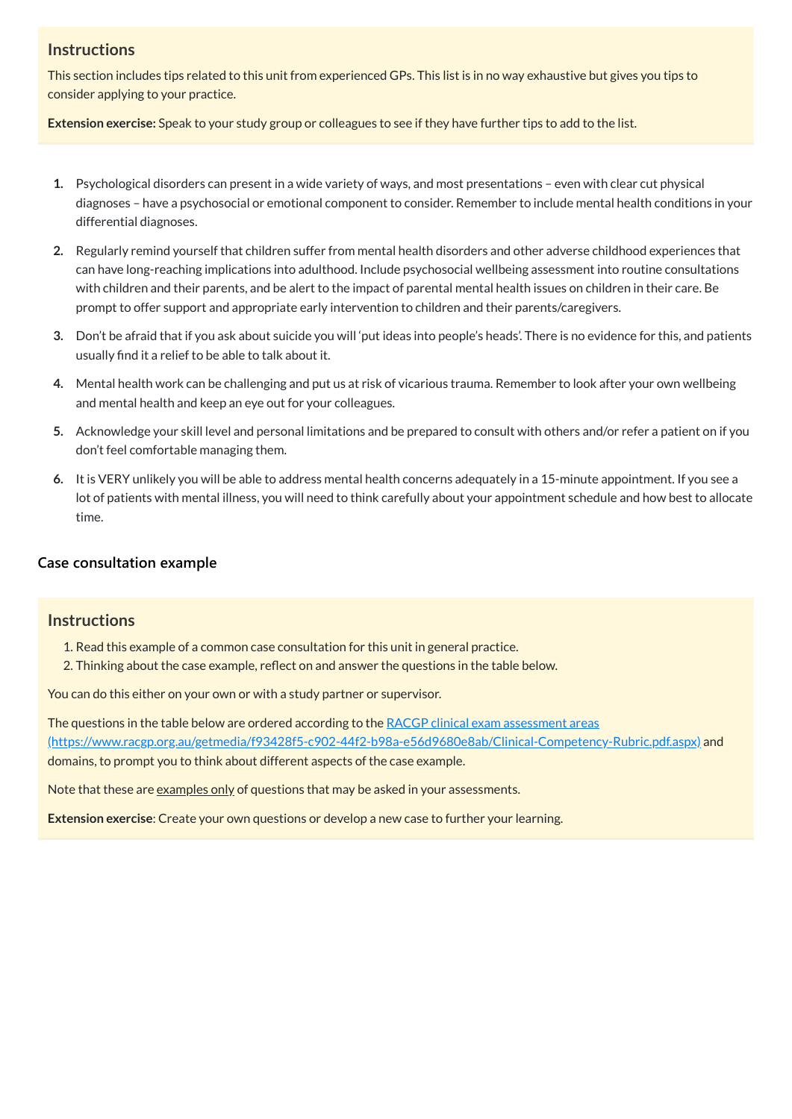#### **Instructions**

This section includes tips related to this unit from experienced GPs. This list is in no way exhaustive but gives you tips to consider applying to your practice.

**Extension exercise:** Speak to your study group or colleagues to see if they have further tips to add to the list.

- **1.** Psychological disorders can present in a wide variety of ways, and most presentations even with clear cut physical diagnoses – have a psychosocial or emotional component to consider. Remember to include mental health conditions in your differential diagnoses.
- **2.** Regularly remind yourself that children suffer from mental health disorders and other adverse childhood experiences that can have long-reaching implications into adulthood. Include psychosocial wellbeing assessment into routine consultations with children and their parents, and be alert to the impact of parental mental health issues on children in their care. Be prompt to offer support and appropriate early intervention to children and their parents/caregivers.
- **3.** Don't be afraid that if you ask about suicide you will 'put ideas into people's heads'. There is no evidence for this, and patients usually find it a relief to be able to talk about it.
- **4.** Mental health work can be challenging and put us at risk of vicarious trauma. Remember to look after your own wellbeing and mental health and keep an eye out for your colleagues.
- **5.** Acknowledge your skill level and personal limitations and be prepared to consult with others and/or refer a patient on if you don't feel comfortable managing them.
- **6.** It is VERY unlikely you will be able to address mental health concerns adequately in a 15-minute appointment. If you see a lot of patients with mental illness, you will need to think carefully about your appointment schedule and how best to allocate time.

The questions in the table below are ordered according to the RACGP clinical exam assessment areas [\(https://www.racgp.org.au/getmedia/f93428f5-c902-44f2-b98a-e56d9680e8ab/Clinical-Competency-Rubric.pdf.aspx\)](https://www.racgp.org.au/getmedia/f93428f5-c902-44f2-b98a-e56d9680e8ab/Clinical-Competency-Rubric.pdf.aspx) and domains, to prompt you to think about different aspects of the case example.

Note that these are <u>examples only</u> of questions that may be asked in your assessments.

#### **[Case consultation example](javascript:void(0))**

#### **Instructions**

- 1. Read this example of a common case consultation for this unit in general practice.
- 2. Thinking about the case example, reflect on and answer the questions in the table below.

You can do this either on your own or with a study partner or supervisor.

**Extension exercise**: Create your own questions or develop a new case to further your learning.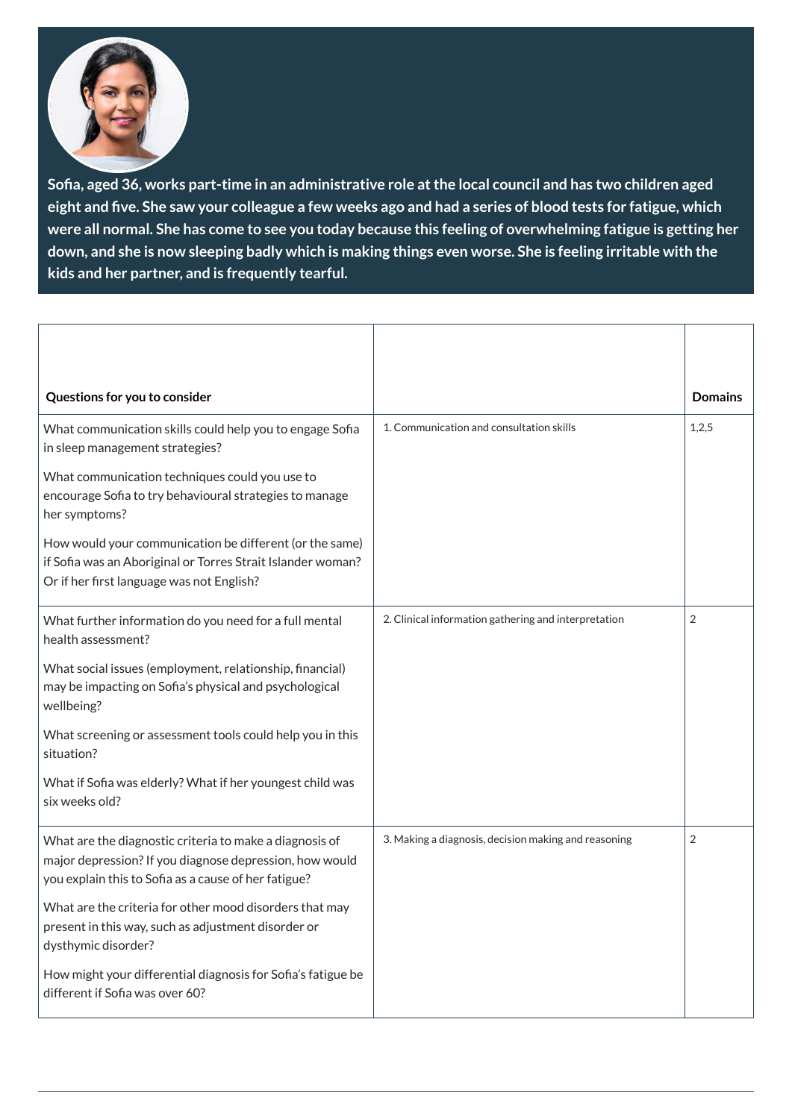

**Sofia, aged 36, works part-time in an administrative role atthe local council and has two children aged** eight and five. She saw your colleague a few weeks ago and had a series of blood tests for fatigue, which were all normal. She has come to see you today because this feeling of overwhelming fatigue is getting her down, and she is now sleeping badly which is making things even worse. She is feeling irritable with the **kids and her partner, and is frequently tearful.**

major depression? If you diagnose depression, how would you explain this to Sofia as a cause of her fatigue?

| Questions for you to consider                                                                                                                                       |                                                      | <b>Domains</b> |
|---------------------------------------------------------------------------------------------------------------------------------------------------------------------|------------------------------------------------------|----------------|
| What communication skills could help you to engage Sofia<br>in sleep management strategies?                                                                         | 1. Communication and consultation skills             | 1,2,5          |
| What communication techniques could you use to<br>encourage Sofia to try behavioural strategies to manage<br>her symptoms?                                          |                                                      |                |
| How would your communication be different (or the same)<br>if Sofia was an Aboriginal or Torres Strait Islander woman?<br>Or if her first language was not English? |                                                      |                |
| What further information do you need for a full mental<br>health assessment?                                                                                        | 2. Clinical information gathering and interpretation | $\overline{2}$ |
| What social issues (employment, relationship, financial)<br>may be impacting on Sofia's physical and psychological<br>wellbeing?                                    |                                                      |                |
| What screening or assessment tools could help you in this<br>situation?                                                                                             |                                                      |                |
| What if Sofia was elderly? What if her youngest child was<br>six weeks old?                                                                                         |                                                      |                |
| What are the diagnostic criteria to make a diagnosis of                                                                                                             | 3. Making a diagnosis, decision making and reasoning | $\overline{2}$ |

What are the criteria for other mood disorders that may present in this way, such as adjustment disorder or dysthymic disorder?

How might your differential diagnosis for Sofia's fatigue be different if Sofia was over 60?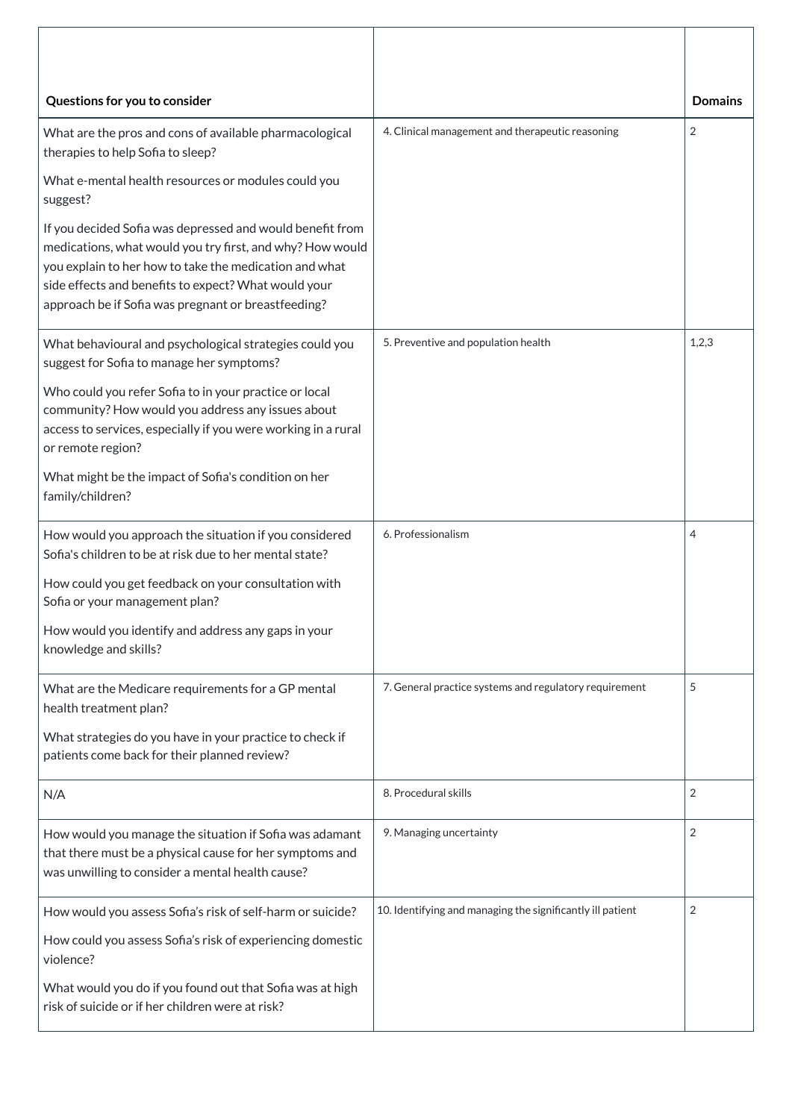| Questions for you to consider                                                                                                                                                                                                                                                                   |                                                            | <b>Domains</b> |
|-------------------------------------------------------------------------------------------------------------------------------------------------------------------------------------------------------------------------------------------------------------------------------------------------|------------------------------------------------------------|----------------|
| What are the pros and cons of available pharmacological<br>therapies to help Sofia to sleep?                                                                                                                                                                                                    | 4. Clinical management and therapeutic reasoning           | 2              |
| What e-mental health resources or modules could you<br>suggest?                                                                                                                                                                                                                                 |                                                            |                |
| If you decided Sofia was depressed and would benefit from<br>medications, what would you try first, and why? How would<br>you explain to her how to take the medication and what<br>side effects and benefits to expect? What would your<br>approach be if Sofia was pregnant or breastfeeding? |                                                            |                |
| What behavioural and psychological strategies could you<br>suggest for Sofia to manage her symptoms?                                                                                                                                                                                            | 5. Preventive and population health                        | 1,2,3          |
| Who could you refer Sofia to in your practice or local<br>community? How would you address any issues about<br>access to services, especially if you were working in a rural<br>or remote region?                                                                                               |                                                            |                |
| What might be the impact of Sofia's condition on her<br>family/children?                                                                                                                                                                                                                        |                                                            |                |
| How would you approach the situation if you considered<br>Sofia's children to be at risk due to her mental state?                                                                                                                                                                               | 6. Professionalism                                         | 4              |
| How could you get feedback on your consultation with<br>Sofia or your management plan?                                                                                                                                                                                                          |                                                            |                |
| How would you identify and address any gaps in your<br>knowledge and skills?                                                                                                                                                                                                                    |                                                            |                |
| What are the Medicare requirements for a GP mental<br>health treatment plan?                                                                                                                                                                                                                    | 7. General practice systems and regulatory requirement     | 5              |
| What strategies do you have in your practice to check if<br>patients come back for their planned review?                                                                                                                                                                                        |                                                            |                |
| N/A                                                                                                                                                                                                                                                                                             | 8. Procedural skills                                       | 2              |
| How would you manage the situation if Sofia was adamant<br>that there must be a physical cause for her symptoms and<br>was unwilling to consider a mental health cause?                                                                                                                         | 9. Managing uncertainty                                    | 2              |
| How would you assess Sofia's risk of self-harm or suicide?                                                                                                                                                                                                                                      | 10. Identifying and managing the significantly ill patient | 2              |
| How could you assess Sofia's risk of experiencing domestic<br>violence?                                                                                                                                                                                                                         |                                                            |                |
| What would you do if you found out that Sofia was at high<br>risk of suicide or if her children were at risk?                                                                                                                                                                                   |                                                            |                |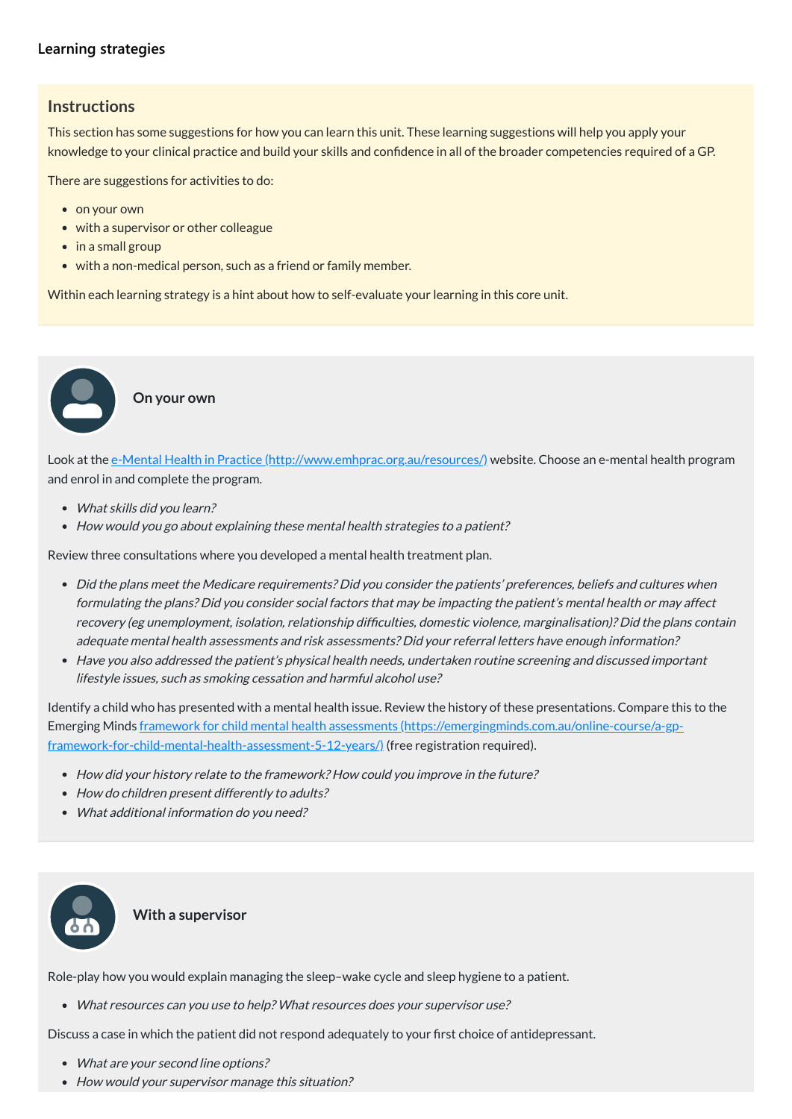#### **[Learning strategies](javascript:void(0))**

#### **Instructions**

This section has some suggestions for how you can learn this unit. These learning suggestions will help you apply your knowledge to your clinical practice and build your skills and confidence in all of the broader competencies required of a GP.

There are suggestions for activities to do:

- on your own
- with a supervisor or other colleague
- in a small group
- with a non-medical person, such as a friend or family member.

Look at the e-Mental Health in Practice [\(http://www.emhprac.org.au/resources/\)](http://www.emhprac.org.au/resources/) website. Choose an e-mental health program and enrol in and complete the program.

- What skills did you learn?
- How would you go about explaining these mental health strategies to a patient?

Within each learning strategy is a hint about how to self-evaluate your learning in this core unit.

**On your own**

Review three consultations where you developed a mental health treatment plan.

- How did your history relate to the framework? How could you improve in the future?
- How do children present differently to adults?
- What additional information do you need?

- What are your second line options?
- How would your supervisor manage this situation?
- Did the plans meet the Medicare requirements? Did you consider the patients' preferences, beliefs and cultures when formulating the plans? Did you consider social factors that may be impacting the patient's mental health or may affect recovery (eg unemployment, isolation, relationship difficulties, domestic violence, marginalisation)? Did the plans contain adequate mental health assessments and risk assessments? Did your referral letters have enough information? **Solution 1999**<br> **Solution 1999**<br> **Columb**<br> **Columb**<br> **Columb**<br> **Columb**<br> **Columb**<br> **Columb**<br> **Columb**<br> **Columb**<br> **Columb**<br> **Columb**
- Have you also addressed the patient's physical health needs, undertaken routine screening and discussed important lifestyle issues, such as smoking cessation and harmful alcohol use?

Identify a child who has presented with a mental health issue. Review the history of these presentations. Compare this to the Emerging Minds framework for child mental health assessments (https://emergingminds.com.au/online-course/a-gp[framework-for-child-mental-health-assessment-5-12-years/\)](https://emergingminds.com.au/online-course/a-gp-framework-for-child-mental-health-assessment-5-12-years/) (free registration required).



Role-play how you would explain managing the sleep–wake cycle and sleep hygiene to a patient.

What resources can you use to help? What resources does your supervisor use?

Discuss a case in which the patient did not respond adequately to your first choice of antidepressant.

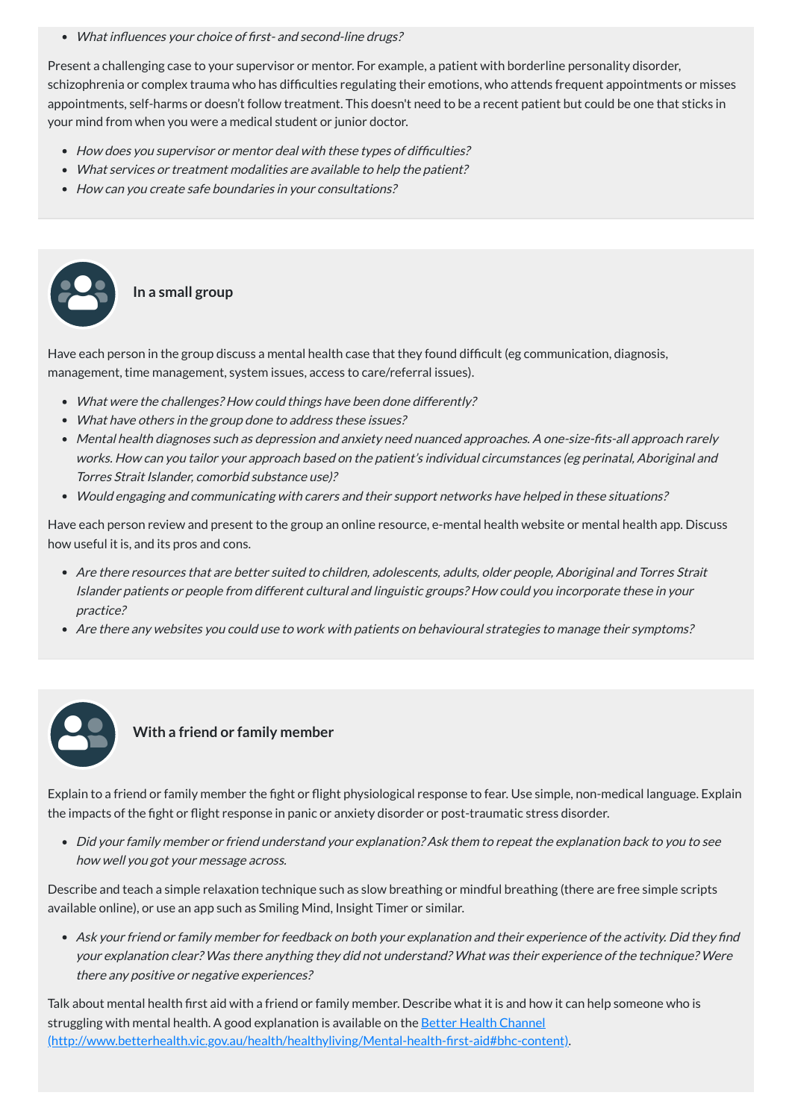What influences your choice of first- and second-line drugs?

Present a challenging case to your supervisor or mentor. For example, a patient with borderline personality disorder, schizophrenia or complex trauma who has difficulties regulating their emotions, who attends frequent appointments or misses appointments, self-harms or doesn't follow treatment. This doesn't need to be a recent patient but could be one that sticks in your mind from when you were a medical student or junior doctor.

- How does you supervisor or mentor deal with these types of difficulties?
- What services or treatment modalities are available to help the patient?
- How can you create safe boundaries in your consultations?

Have each person in the group discuss a mental health case that they found difficult (eg communication, diagnosis, management, time management, system issues, access to care/referral issues).

- What were the challenges? How could things have been done differently?
- What have others in the group done to address these issues?
- Mental health diagnoses such as depression and anxiety need nuanced approaches. A one-size-fits-all approach rarely works. How can you tailor your approach based on the patient's individual circumstances (eg perinatal, Aboriginal and Torres Strait Islander, comorbid substance use)?
- Would engaging and communicating with carers and their support networks have helped in these situations?

Have each person review and present to the group an online resource, e-mental health website or mental health app. Discuss how useful it is, and its pros and cons.

- Are there resources that are better suited to children, adolescents, adults, older people, Aboriginal and Torres Strait Islander patients or people from different cultural and linguistic groups? How could you incorporate these in your practice?
- Are there any websites you could use to work with patients on behavioural strategies to manage their symptoms?





**In a small group**

#### **With a friend or family member**

Explain to a friend or family member the fight or flight physiological response to fear. Use simple, non-medical language. Explain the impacts of the fight or flight response in panic or anxiety disorder or post-traumatic stress disorder.

Did your family member or friend understand your explanation? Ask them to repeat the explanation back to you to see

how well you got your message across.

Describe and teach a simple relaxation technique such as slow breathing or mindful breathing (there are free simple scripts available online), or use an app such as Smiling Mind, Insight Timer or similar.

Ask your friend or family member for feedback on both your explanation and their experience of the activity. Did they find your explanation clear? Was there anything they did not understand? What was their experience of the technique? Were there any positive or negative experiences?

Talk about mental health first aid with a friend or family member. Describe what it is and how it can help someone who is struggling with mental health. A good explanation is available on the Better Health Channel [\(http://www.betterhealth.vic.gov.au/health/healthyliving/Mental-health-first-aid#bhc-content\)](http://www.betterhealth.vic.gov.au/health/healthyliving/Mental-health-first-aid#bhc-content).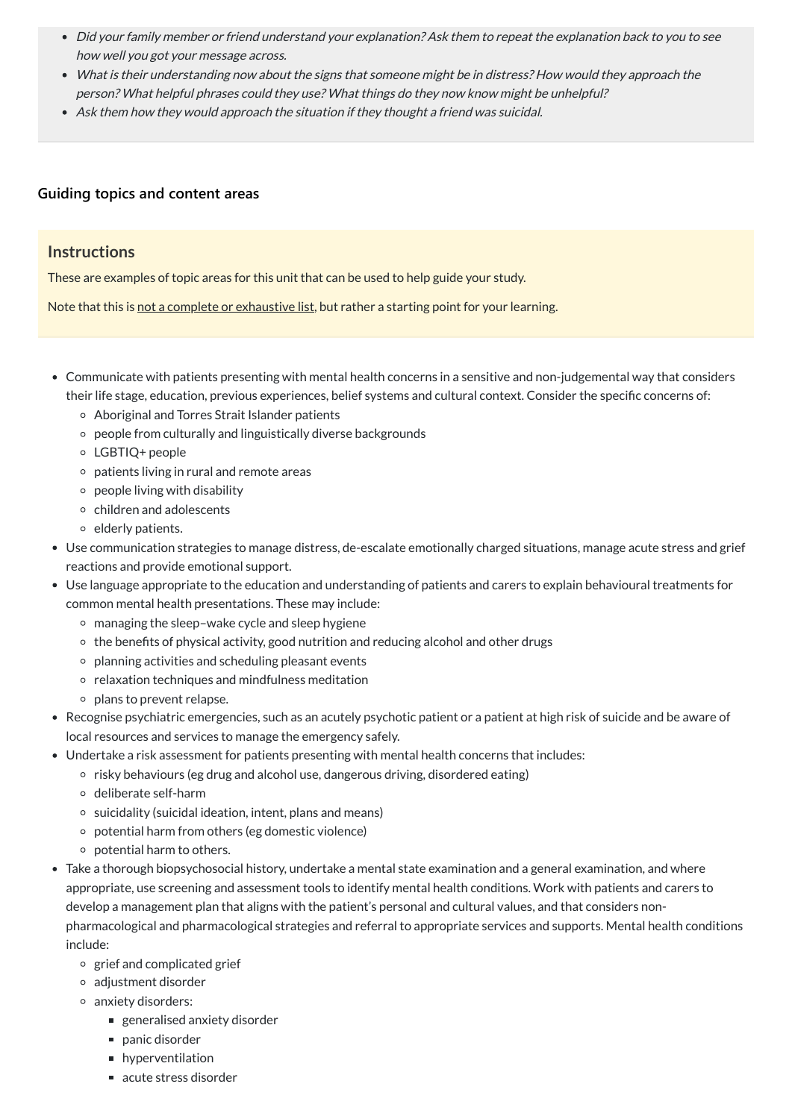- Did your family member or friend understand your explanation? Ask them to repeat the explanation back to you to see how well you got your message across.
- What is their understanding now about the signs that someone might be in distress? How would they approach the person? What helpful phrases could they use? What things do they now know might be unhelpful?
- Ask them how they would approach the situation if they thought <sup>a</sup> friend was suicidal.

- Communicate with patients presenting with mental health concerns in a sensitive and non-judgemental way that considers their life stage, education, previous experiences, belief systems and cultural context. Consider the specific concerns of:
	- Aboriginal and Torres Strait Islander patients
	- people from culturally and linguistically diverse backgrounds
	- LGBTIQ+ people
	- patients living in rural and remote areas
	- $\circ$  people living with disability
	- $\circ$  children and adolescents
	- $\circ$  elderly patients.
- Use communication strategies to manage distress, de-escalate emotionally charged situations, manage acute stress and grief reactions and provide emotional support.
- Use language appropriate to the education and understanding of patients and carers to explain behavioural treatments for common mental health presentations. These may include:
	- managing the sleep–wake cycle and sleep hygiene
	- the benefits of physical activity, good nutrition and reducing alcohol and other drugs
	- $\circ$  planning activities and scheduling pleasant events
	- $\circ$  relaxation techniques and mindfulness meditation
	- <sup>o</sup> plans to prevent relapse.
- Recognise psychiatric emergencies, such as an acutely psychotic patient or a patient at high risk of suicide and be aware of local resources and services to manage the emergency safely.
- Undertake a risk assessment for patients presenting with mental health concerns that includes:
	- $\circ$  risky behaviours (eg drug and alcohol use, dangerous driving, disordered eating)
	- deliberate self-harm
	- $\circ$  suicidality (suicidal ideation, intent, plans and means)
	- potential harm from others (eg domestic violence)
	- $\circ$  potential harm to others.
- Take a thorough biopsychosocial history, undertake a mental state examination and a general examination, and where appropriate, use screening and assessment tools to identify mental health conditions. Work with patients and carers to develop a management plan that aligns with the patient's personal and cultural values, and that considers nonpharmacological and pharmacological strategies and referral to appropriate services and supports. Mental health conditions include:
	- $\circ$  grief and complicated grief
	- adjustment disorder
	- anxiety disorders:
		- generalised anxiety disorder
		- panic disorder
		- **n** hyperventilation
		- acute stress disorder

#### **[Guiding topics and content areas](javascript:void(0))**

#### **Instructions**

These are examples of topic areas for this unit that can be used to help guide your study.

Note that this is not a complete or exhaustive list, but rather a starting point for your learning.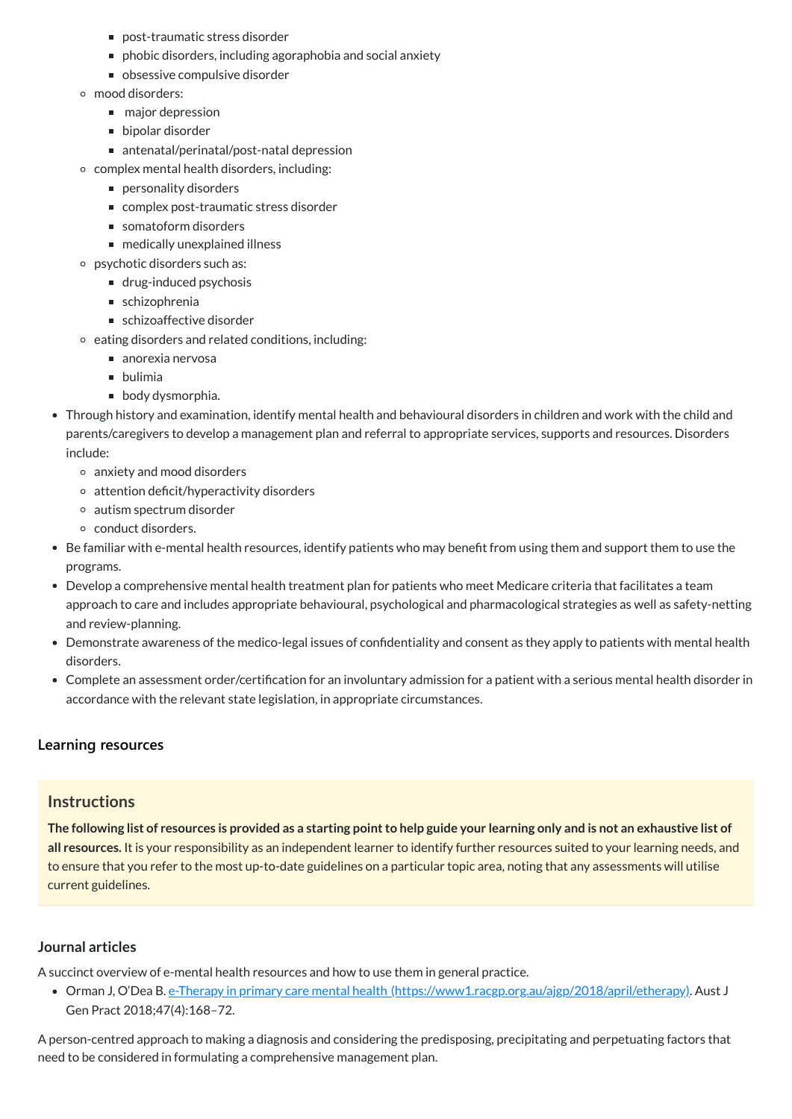- post-traumatic stress disorder
- phobic disorders, including agoraphobia and social anxiety
- obsessive compulsive disorder
- mood disorders:
	- major depression
	- bipolar disorder
	- antenatal/perinatal/post-natal depression
- $\circ$  complex mental health disorders, including:
	- personality disorders
	- complex post-traumatic stress disorder
	- somatoform disorders
	- medically unexplained illness
- psychotic disorders such as:
	- drug-induced psychosis
	- schizophrenia
	- schizoaffective disorder
- $\circ$  eating disorders and related conditions, including:
	- $\blacksquare$  anorexia nervosa
	- **D** bulimia
	- **body dysmorphia.**
- Through history and examination, identify mental health and behavioural disorders in children and work with the child and parents/caregivers to develop a management plan and referral to appropriate services, supports and resources. Disorders include:
	- anxiety and mood disorders
	- $\circ$  attention deficit/hyperactivity disorders
	- autism spectrum disorder
	- conduct disorders.
- Be familiar with e-mental health resources, identify patients who may benefit from using them and support them to use the programs.
- Develop a comprehensive mental health treatment plan for patients who meet Medicare criteria that facilitates a team approach to care and includes appropriate behavioural, psychological and pharmacological strategies as well as safety-netting and review-planning.
- Demonstrate awareness of the medico-legal issues of confidentiality and consent as they apply to patients with mental health disorders.
- Complete an assessment order/certification for an involuntary admission for a patient with a serious mental health disorder in accordance with the relevant state legislation, in appropriate circumstances.

The following list of resources is provided as a starting point to help guide your learning only and is not an exhaustive list of **all resources.** It is your responsibility as an independent learner to identify further resources suited to your learning needs, and to ensure that you refer to the most up-to-date guidelines on a particular topic area, noting that any assessments will utilise current guidelines.

#### **[Learning resources](javascript:void(0))**

#### **Instructions**

#### **Journal articles**

A succinct overview of e-mental health resources and how to use them in general practice.

Orman J, O'Dea B. e-Therapy in primary care mental health [\(https://www1.racgp.org.au/ajgp/2018/april/etherapy\)](https://www1.racgp.org.au/ajgp/2018/april/etherapy). Aust J Gen Pract 2018;47(4):168–72.

A person-centred approach to making a diagnosis and considering the predisposing, precipitating and perpetuating factors that need to be considered in formulating a comprehensive management plan.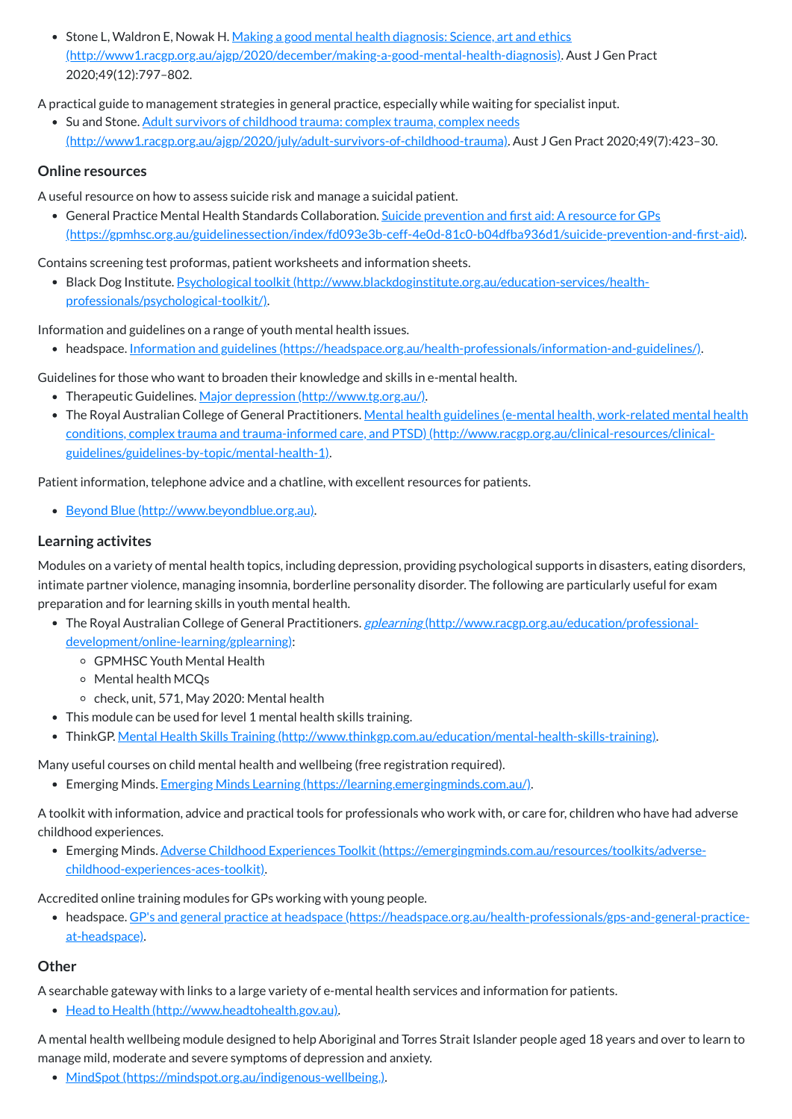• Stone L, Waldron E, Nowak H. Making a good mental health diagnosis: Science, art and ethics [\(http://www1.racgp.org.au/ajgp/2020/december/making-a-good-mental-health-diagnosis\).](http://www1.racgp.org.au/ajgp/2020/december/making-a-good-mental-health-diagnosis) Aust J Gen Pract 2020;49(12):797–802.

• Su and Stone. Adult survivors of childhood trauma: complex trauma, complex needs [\(http://www1.racgp.org.au/ajgp/2020/july/adult-survivors-of-childhood-trauma\).](http://www1.racgp.org.au/ajgp/2020/july/adult-survivors-of-childhood-trauma) Aust J Gen Pract 2020;49(7):423–30.

A practical guide to management strategies in general practice, especially while waiting for specialist input.

#### **Online resources**

• Black Dog Institute. Psychological toolkit [\(http://www.blackdoginstitute.org.au/education-services/health](http://www.blackdoginstitute.org.au/education-services/health-professionals/psychological-toolkit/)professionals/psychological-toolkit/).

A useful resource on how to assess suicide risk and manage a suicidal patient.

General Practice Mental Health Standards Collaboration. Suicide prevention and first aid: A resource for GPs [\(https://gpmhsc.org.au/guidelinessection/index/fd093e3b-ceff-4e0d-81c0-b04dfba936d1/suicide-prevention-and-first-aid\)](https://gpmhsc.org.au/guidelinessection/index/fd093e3b-ceff-4e0d-81c0-b04dfba936d1/suicide-prevention-and-first-aid).

- Therapeutic Guidelines. Major depression [\(http://www.tg.org.au/\).](http://www.tg.org.au/)
- The Royal Australian College of General Practitioners. Mental health guidelines (e-mental health, work-related mental health conditions, complex trauma and trauma-informed care, and PTSD) [\(http://www.racgp.org.au/clinical-resources/clinical](http://www.racgp.org.au/clinical-resources/clinical-guidelines/guidelines-by-topic/mental-health-1)guidelines/guidelines-by-topic/mental-health-1).

Contains screening test proformas, patient worksheets and information sheets.

Information and guidelines on a range of youth mental health issues.

headspace. Information and guidelines [\(https://headspace.org.au/health-professionals/information-and-guidelines/\)](https://headspace.org.au/health-professionals/information-and-guidelines/).

- The Royal Australian College of General Practitioners. gplearning [\(http://www.racgp.org.au/education/professional](http://www.racgp.org.au/education/professional-development/online-learning/gplearning)development/online-learning/gplearning):
	- GPMHSC Youth Mental Health
	- Mental health MCQs
	- $\circ$  check, unit, 571, May 2020: Mental health
- This module can be used for level 1 mental health skills training.
- ThinkGP. Mental Health Skills Training [\(http://www.thinkgp.com.au/education/mental-health-skills-training\)](http://www.thinkgp.com.au/education/mental-health-skills-training).

Guidelines for those who want to broaden their knowledge and skills in e-mental health.

Patient information, telephone advice and a chatline, with excellent resources for patients.

Beyond Blue [\(http://www.beyondblue.org.au\)](http://www.beyondblue.org.au/).

#### **Learning activites**

Modules on a variety of mental health topics, including depression, providing psychological supports in disasters, eating disorders, intimate partner violence, managing insomnia, borderline personality disorder. The following are particularly useful for exam preparation and for learning skills in youth mental health.

Many useful courses on child mental health and wellbeing (free registration required).

• Emerging Minds. Emerging Minds Learning [\(https://learning.emergingminds.com.au/\)](https://learning.emergingminds.com.au/).

A toolkit with information, advice and practical tools for professionals who work with, or care for, children who have had adverse childhood experiences.

Emerging Minds. Adverse Childhood Experiences Toolkit [\(https://emergingminds.com.au/resources/toolkits/adverse](https://emergingminds.com.au/resources/toolkits/adverse-childhood-experiences-aces-toolkit)childhood-experiences-aces-toolkit).

Accredited online training modules for GPs working with young people.

headspace. GP's and general practice at headspace [\(https://headspace.org.au/health-professionals/gps-and-general-practice](https://headspace.org.au/health-professionals/gps-and-general-practice-at-headspace)at-headspace).

#### **Other**

A searchable gateway with links to a large variety of e-mental health services and information for patients.

• Head to Health [\(http://www.headtohealth.gov.au\).](http://www.headtohealth.gov.au/)

A mental health wellbeing module designed to help Aboriginal and Torres Strait Islander people aged 18 years and over to learn to manage mild, moderate and severe symptoms of depression and anxiety.

• MindSpot [\(https://mindspot.org.au/indigenous-wellbeing.\)](https://mindspot.org.au/indigenous-wellbeing.).